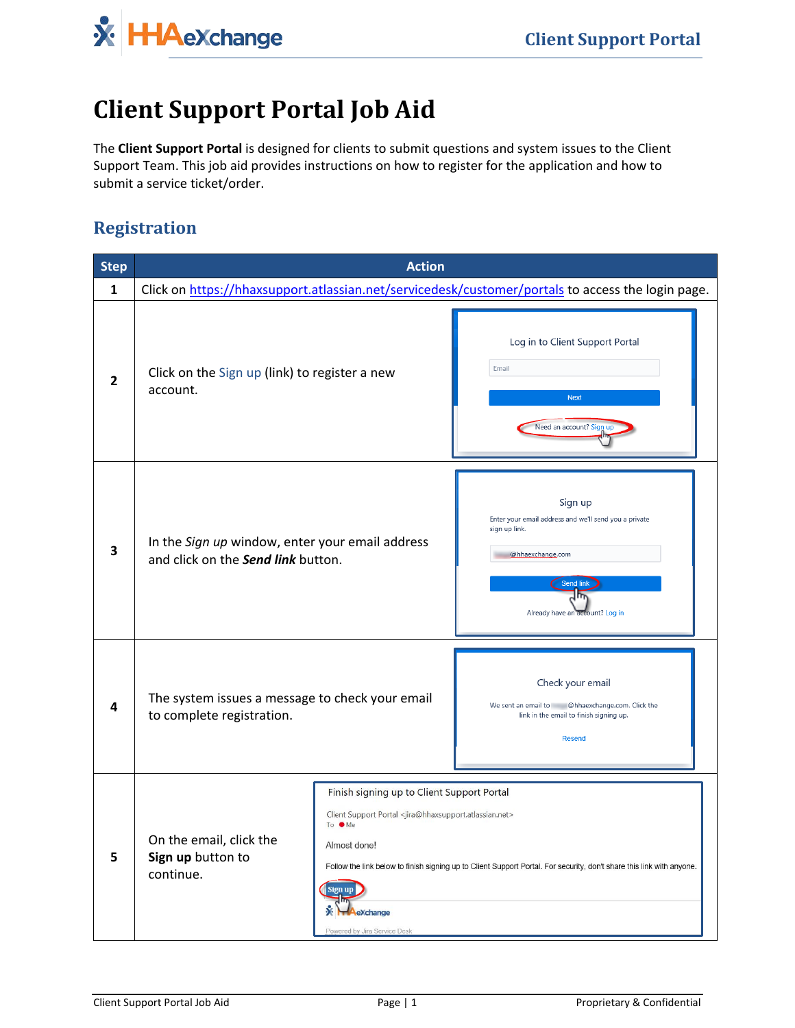**X** HAeXchange

# **Client Support Portal Job Aid**

The **Client Support Portal** is designed for clients to submit questions and system issues to the Client Support Team. This job aid provides instructions on how to register for the application and how to submit a service ticket/order.

## **Registration**

| <b>Step</b>  |                                                                                                                                                                                                                                                                                            | <b>Action</b> |                                                                                                                                                              |
|--------------|--------------------------------------------------------------------------------------------------------------------------------------------------------------------------------------------------------------------------------------------------------------------------------------------|---------------|--------------------------------------------------------------------------------------------------------------------------------------------------------------|
| $\mathbf{1}$ |                                                                                                                                                                                                                                                                                            |               | Click on https://hhaxsupport.atlassian.net/servicedesk/customer/portals to access the login page.                                                            |
| 2            | Click on the Sign up (link) to register a new<br>account.                                                                                                                                                                                                                                  |               | Log in to Client Support Portal<br>Email<br><b>Next</b><br>Need an account? Sign up                                                                          |
| 3            | In the Sign up window, enter your email address<br>and click on the Send link button.                                                                                                                                                                                                      |               | Sign up<br>Enter your email address and we'll send you a private<br>sign up link.<br>@hhaexchange.com<br>Send link<br>1ħ,<br>Already have an account? Log in |
|              | The system issues a message to check your email<br>to complete registration.                                                                                                                                                                                                               |               | Check your email<br>We sent an email to @hhaexchange.com. Click the<br>link in the email to finish signing up.<br><b>Resend</b>                              |
| 5            | Finish signing up to Client Support Portal<br>Client Support Portal <jira@hhaxsupport.atlassian.net><br/>To Me<br/>On the email, click the<br/>Almost done!<br/>Sign up button to<br/>continue.<br/>Sign up<br/>eXchange<br/>Powered by Jira Service Desk</jira@hhaxsupport.atlassian.net> |               | Follow the link below to finish signing up to Client Support Portal. For security, don't share this link with anyone.                                        |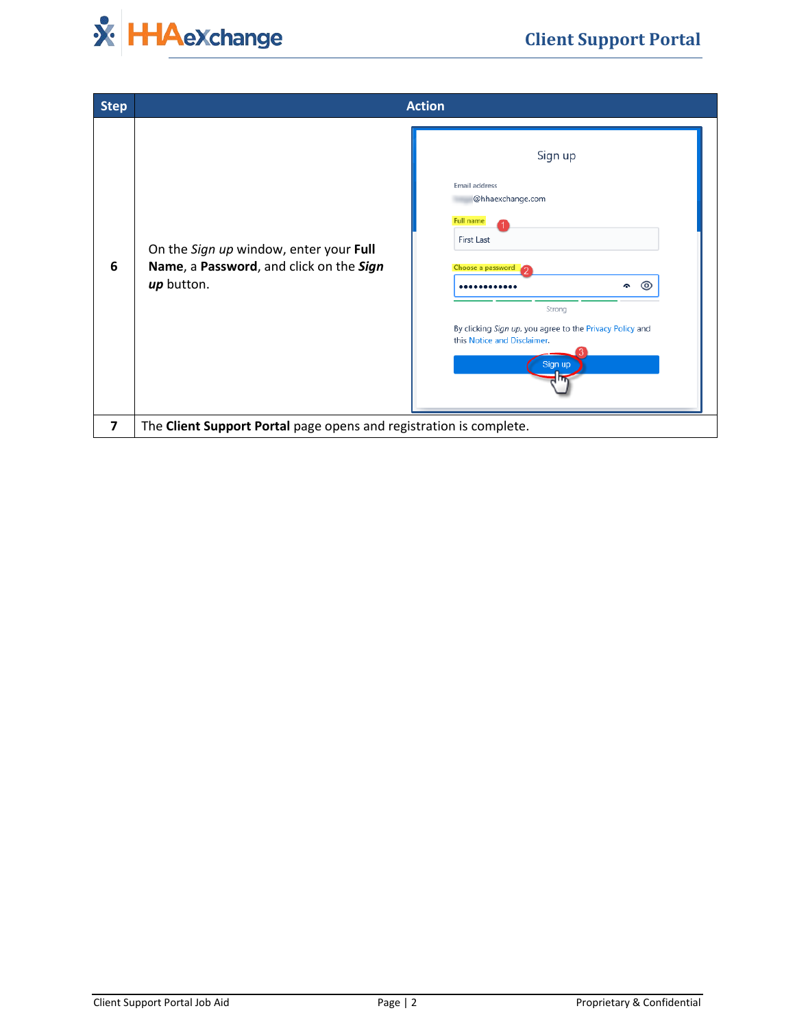

| <b>Step</b> |                                                                                                 | <b>Action</b>                                                                                                                                                                                                                   |
|-------------|-------------------------------------------------------------------------------------------------|---------------------------------------------------------------------------------------------------------------------------------------------------------------------------------------------------------------------------------|
| 6           | On the Sign up window, enter your Full<br>Name, a Password, and click on the Sign<br>up button. | Sign up<br><b>Email address</b><br>@hhaexchange.com<br><b>Full name</b><br>First Last<br>Choose a password<br>⊚<br>Strong<br>By clicking Sign up, you agree to the Privacy Policy and<br>this Notice and Disclaimer.<br>Sign up |
| 7           | The Client Support Portal page opens and registration is complete.                              |                                                                                                                                                                                                                                 |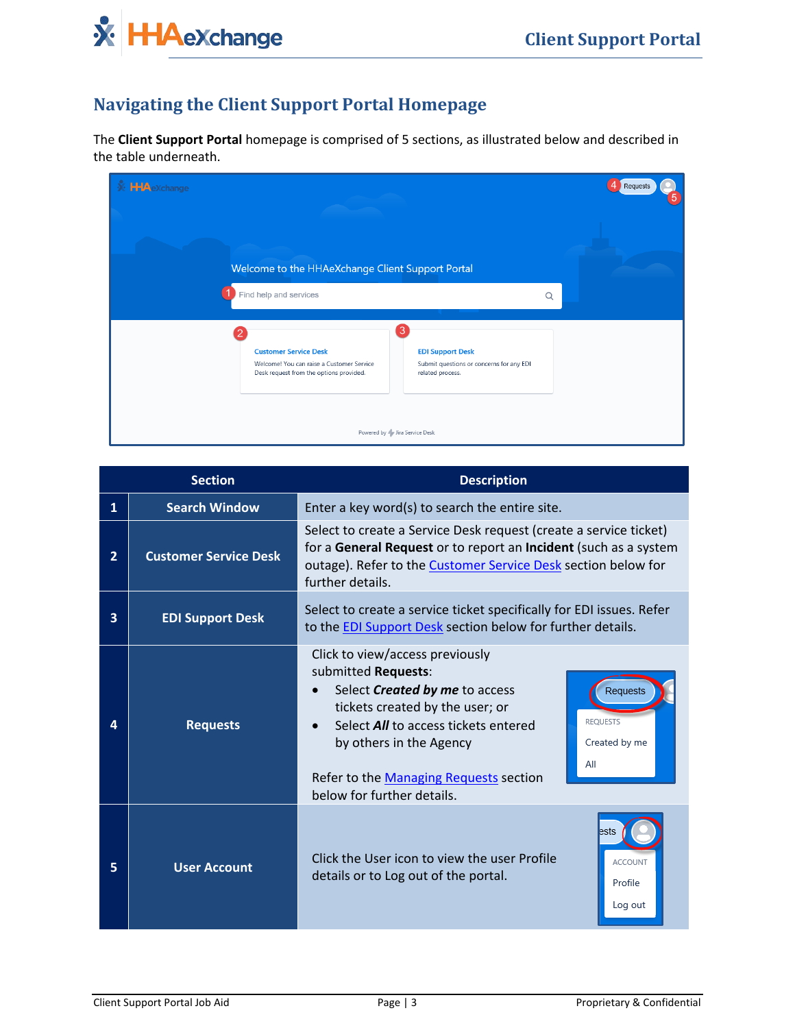

# **Navigating the Client Support Portal Homepage**

The **Client Support Portal** homepage is comprised of 5 sections, as illustrated below and described in the table underneath.

| <b>X</b> HAexchange |                                                                                                                      |                                                                                              |   | Requests<br>5 |
|---------------------|----------------------------------------------------------------------------------------------------------------------|----------------------------------------------------------------------------------------------|---|---------------|
|                     | Welcome to the HHAeXchange Client Support Portal                                                                     |                                                                                              |   |               |
|                     | Find help and services                                                                                               |                                                                                              | Q |               |
|                     | <b>Customer Service Desk</b><br>Welcome! You can raise a Customer Service<br>Desk request from the options provided. | 3<br><b>EDI Support Desk</b><br>Submit questions or concerns for any EDI<br>related process. |   |               |
|                     |                                                                                                                      | Powered by Jira Service Desk                                                                 |   |               |

|   | <b>Section</b>               | <b>Description</b>                                                                                                                                                                                                                                                                   |                                                     |  |
|---|------------------------------|--------------------------------------------------------------------------------------------------------------------------------------------------------------------------------------------------------------------------------------------------------------------------------------|-----------------------------------------------------|--|
| 1 | <b>Search Window</b>         | Enter a key word(s) to search the entire site.                                                                                                                                                                                                                                       |                                                     |  |
| 2 | <b>Customer Service Desk</b> | Select to create a Service Desk request (create a service ticket)<br>for a General Request or to report an Incident (such as a system<br>outage). Refer to the Customer Service Desk section below for<br>further details.                                                           |                                                     |  |
| 3 | <b>EDI Support Desk</b>      | Select to create a service ticket specifically for EDI issues. Refer<br>to the EDI Support Desk section below for further details.                                                                                                                                                   |                                                     |  |
|   | <b>Requests</b>              | Click to view/access previously<br>submitted Requests:<br>Select <b>Created by me</b> to access<br>tickets created by the user; or<br>Select <b>All</b> to access tickets entered<br>by others in the Agency<br>Refer to the Managing Requests section<br>below for further details. | Requests<br><b>REQUESTS</b><br>Created by me<br>All |  |
| 5 | <b>User Account</b>          | Click the User icon to view the user Profile<br>details or to Log out of the portal.                                                                                                                                                                                                 | <b>ACCOUNT</b><br>Profile<br>Log out                |  |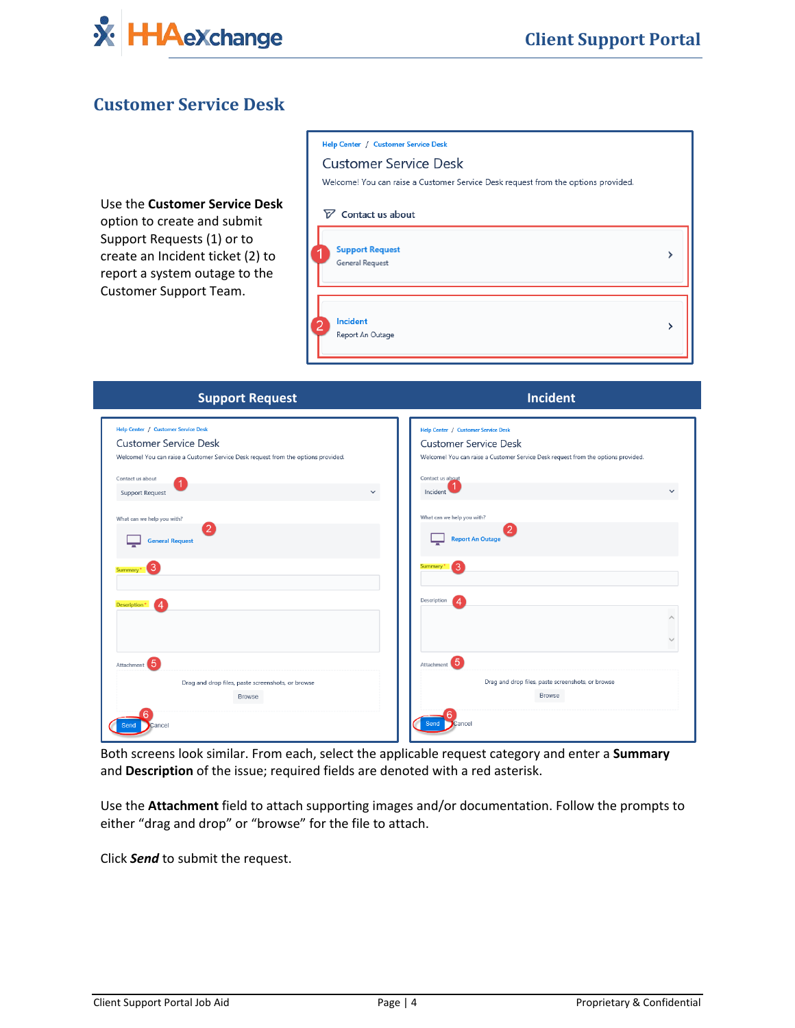

#### <span id="page-3-0"></span>**Customer Service Desk**

Use the **Customer Service Desk**  option to create and submit Support Requests (1) or to create an Incident ticket (2) to report a system outage to the Customer Support Team.

| Help Center / Customer Service Desk                                               |  |
|-----------------------------------------------------------------------------------|--|
| <b>Customer Service Desk</b>                                                      |  |
| Welcome! You can raise a Customer Service Desk request from the options provided. |  |
| $\nabla$ Contact us about                                                         |  |
| <b>Support Request</b><br>General Request                                         |  |
| Incident<br>Report An Outage                                                      |  |

| <b>Support Request</b>                                                            | Incident                                                                          |
|-----------------------------------------------------------------------------------|-----------------------------------------------------------------------------------|
| Help Center / Customer Service Desk                                               | Help Center / Customer Service Desk                                               |
| <b>Customer Service Desk</b>                                                      | <b>Customer Service Desk</b>                                                      |
| Welcome! You can raise a Customer Service Desk request from the options provided. | Welcome! You can raise a Customer Service Desk request from the options provided. |
| Contact us about                                                                  | Contact us about                                                                  |
| $\checkmark$<br><b>Support Request</b>                                            | Incident<br>$\checkmark$                                                          |
| What can we help you with?                                                        | What can we help you with?                                                        |
| <b>General Request</b>                                                            | 2<br><b>Report An Outage</b>                                                      |
| 3<br>Summary                                                                      | 3<br>Summary                                                                      |
| <b>Description*</b><br>Δ                                                          | Description<br>$\boldsymbol{\Delta}$                                              |
|                                                                                   | $\curvearrowright$                                                                |
|                                                                                   | $\checkmark$                                                                      |
| Attachment 5                                                                      | Attachment 5                                                                      |
| Drag and drop files, paste screenshots, or browse                                 | Drag and drop files, paste screenshots, or browse                                 |
| <b>Browse</b>                                                                     | <b>Browse</b>                                                                     |
| ancel                                                                             | Send                                                                              |

Both screens look similar. From each, select the applicable request category and enter a **Summary** and **Description** of the issue; required fields are denoted with a red asterisk.

Use the **Attachment** field to attach supporting images and/or documentation. Follow the prompts to either "drag and drop" or "browse" for the file to attach.

Click *Send* to submit the request.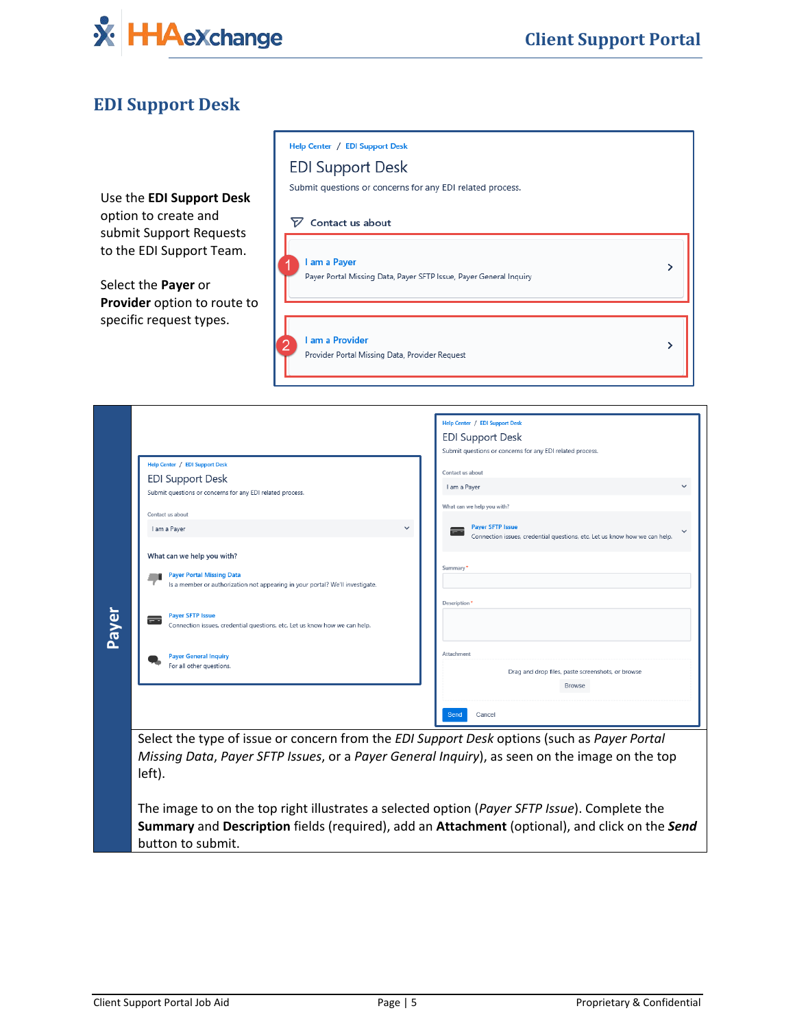

Г

٦

### <span id="page-4-0"></span>**EDI Support Desk**

|       | Use the EDI Support Desk<br>option to create and<br>submit Support Requests<br>to the EDI Support Team.<br>Select the Payer or<br>Provider option to route to<br>specific request types.                                                                                                                                                                                                                                                                                                     | Help Center / EDI Support Desk<br><b>EDI Support Desk</b><br>Submit questions or concerns for any EDI related process.<br>$\nabla$ Contact us about<br>I am a Payer<br>Payer Portal Missing Data, Payer SFTP Issue, Payer General Inquiry<br>I am a Provider<br>Provider Portal Missing Data, Provider Request | ><br>ゝ                                                                                                                                                                                                                                                                                                                                                                                                                                                                                                                                                                                                                                                |
|-------|----------------------------------------------------------------------------------------------------------------------------------------------------------------------------------------------------------------------------------------------------------------------------------------------------------------------------------------------------------------------------------------------------------------------------------------------------------------------------------------------|----------------------------------------------------------------------------------------------------------------------------------------------------------------------------------------------------------------------------------------------------------------------------------------------------------------|-------------------------------------------------------------------------------------------------------------------------------------------------------------------------------------------------------------------------------------------------------------------------------------------------------------------------------------------------------------------------------------------------------------------------------------------------------------------------------------------------------------------------------------------------------------------------------------------------------------------------------------------------------|
| Payer | Help Center / EDI Support Desk<br><b>EDI Support Desk</b><br>Submit questions or concerns for any EDI related process.<br>Contact us about<br>I am a Payer<br>What can we help you with?<br><b>Payer Portal Missing Data</b><br>Is a member or authorization not appearing in your portal? We'll investigate.<br><b>Payer SFTP Issue</b><br>Connection issues, credential questions, etc. Let us know how we can help.<br><b>Payer General Inquiry</b><br>For all other questions.<br>left). | $\checkmark$                                                                                                                                                                                                                                                                                                   | Help Center / EDI Support Desk<br><b>EDI Support Desk</b><br>Submit questions or concerns for any EDI related process.<br>Contact us about<br>I am a Payer<br>What can we help you with?<br><b>Paver SFTP Issue</b><br>Connection issues, credential questions, etc. Let us know how we can help.<br><b>Summary</b><br>Description <sup>*</sup><br>Attachment<br>Drag and drop files, paste screenshots, or browse<br><b>Browse</b><br>Send<br>Cancel<br>Select the type of issue or concern from the EDI Support Desk options (such as Payer Portal<br>Missing Data, Payer SFTP Issues, or a Payer General Inquiry), as seen on the image on the top |

The image to on the top right illustrates a selected option (*Payer SFTP Issue*). Complete the **Summary** and **Description** fields (required), add an **Attachment** (optional), and click on the *Send* button to submit.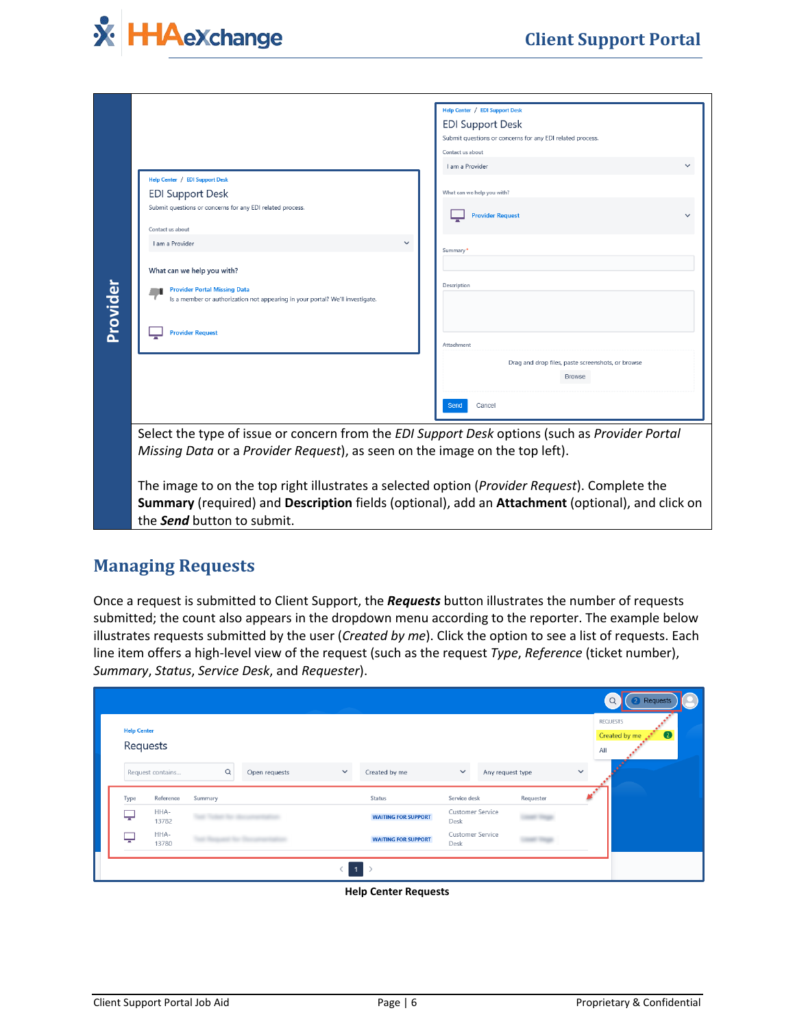

|                                                                                                                      | Help Center / EDI Support Desk                                                                 |
|----------------------------------------------------------------------------------------------------------------------|------------------------------------------------------------------------------------------------|
|                                                                                                                      | <b>EDI Support Desk</b>                                                                        |
|                                                                                                                      | Submit questions or concerns for any EDI related process.                                      |
|                                                                                                                      | Contact us about                                                                               |
|                                                                                                                      | I am a Provider                                                                                |
| <b>Help Center / EDI Support Desk</b>                                                                                |                                                                                                |
| <b>EDI Support Desk</b>                                                                                              | What can we help you with?                                                                     |
| Submit questions or concerns for any EDI related process.                                                            | <b>Provider Request</b>                                                                        |
| Contact us about                                                                                                     |                                                                                                |
| I am a Provider                                                                                                      | $\checkmark$<br>Summary*                                                                       |
| What can we help you with?                                                                                           |                                                                                                |
| <b>Provider Portal Missing Data</b><br>Is a member or authorization not appearing in your portal? We'll investigate. | Description                                                                                    |
| <b>Provider Request</b>                                                                                              |                                                                                                |
|                                                                                                                      | Attachment                                                                                     |
|                                                                                                                      | Drag and drop files, paste screenshots, or browse                                              |
|                                                                                                                      | <b>Browse</b>                                                                                  |
|                                                                                                                      | Send<br>Cancel                                                                                 |
|                                                                                                                      |                                                                                                |
|                                                                                                                      | Select the type of issue or concern from the EDI Support Desk options (such as Provider Portal |

#### <span id="page-5-0"></span>**Managing Requests**

| <b>Provider</b>    | <b>Provider Request</b>                                                                                 |                                                |                                                                                                                                                                                                  |                            | Attachment                      | Drag and drop files, paste screenshots, or browse | <b>Browse</b>                                                                                                |                             |
|--------------------|---------------------------------------------------------------------------------------------------------|------------------------------------------------|--------------------------------------------------------------------------------------------------------------------------------------------------------------------------------------------------|----------------------------|---------------------------------|---------------------------------------------------|--------------------------------------------------------------------------------------------------------------|-----------------------------|
|                    |                                                                                                         |                                                |                                                                                                                                                                                                  |                            |                                 |                                                   |                                                                                                              |                             |
|                    |                                                                                                         |                                                |                                                                                                                                                                                                  |                            |                                 |                                                   |                                                                                                              |                             |
|                    |                                                                                                         |                                                |                                                                                                                                                                                                  |                            |                                 |                                                   |                                                                                                              |                             |
|                    |                                                                                                         |                                                |                                                                                                                                                                                                  |                            | Send<br>Cancel                  |                                                   |                                                                                                              |                             |
|                    |                                                                                                         |                                                | Select the type of issue or concern from the EDI Support Desk options (such as Provider Portal<br>Missing Data or a Provider Request), as seen on the image on the top left).                    |                            |                                 |                                                   |                                                                                                              |                             |
|                    | the <b>Send</b> button to submit.                                                                       |                                                | The image to on the top right illustrates a selected option (Provider Request). Complete the<br>Summary (required) and Description fields (optional), add an Attachment (optional), and click on |                            |                                 |                                                   |                                                                                                              |                             |
|                    |                                                                                                         |                                                |                                                                                                                                                                                                  |                            |                                 |                                                   |                                                                                                              |                             |
|                    | line item offers a high-level view of the request (such as the request Type, Reference (ticket number), |                                                |                                                                                                                                                                                                  |                            |                                 |                                                   | illustrates requests submitted by the user (Created by me). Click the option to see a list of requests. Each |                             |
| <b>Help Center</b> |                                                                                                         | Summary, Status, Service Desk, and Requester). |                                                                                                                                                                                                  |                            |                                 |                                                   | <b>REQUESTS</b>                                                                                              | 2 Requests<br>Created by me |
| Requests           |                                                                                                         |                                                |                                                                                                                                                                                                  |                            |                                 |                                                   | All                                                                                                          |                             |
| Request contains   | Q                                                                                                       | Open requests                                  | Created by me                                                                                                                                                                                    |                            |                                 | Any request type                                  |                                                                                                              |                             |
| Type<br>Reference  | Summary                                                                                                 |                                                | <b>Status</b>                                                                                                                                                                                    |                            | Service desk                    | Requester                                         |                                                                                                              |                             |
| HHA-<br>13782      |                                                                                                         |                                                |                                                                                                                                                                                                  | <b>WAITING FOR SUPPORT</b> | <b>Customer Service</b><br>Desk |                                                   |                                                                                                              |                             |
| HHA-<br>13780      |                                                                                                         |                                                |                                                                                                                                                                                                  | <b>WAITING FOR SUPPORT</b> | <b>Customer Service</b><br>Desk |                                                   |                                                                                                              |                             |
|                    |                                                                                                         |                                                | $\langle$ $ $<br>$1$ >                                                                                                                                                                           |                            |                                 |                                                   |                                                                                                              |                             |

**Help Center Requests**